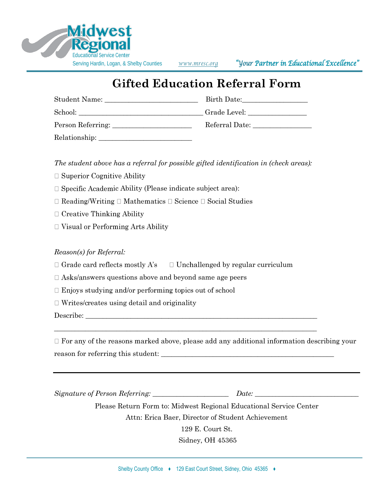

Serving Hardin, Logan, & Shelby Counties *[www.mresc.org](http://www.mresc.org/) "Your Partner in Educational Excellence"*

## **Gifted Education Referral Form**

| Student Name:     | Birth Date:    |
|-------------------|----------------|
| School:           |                |
| Person Referring: | Referral Date: |
| Relationship:     |                |

*The student above has a referral for possible gifted identification in (check areas):*

- $\Box$  Superior Cognitive Ability
- $\Box$  Specific Academic Ability (Please indicate subject area):
- $\Box$  Reading/Writing  $\Box$  Mathematics  $\Box$  Science  $\Box$  Social Studies
- $\Box$  Creative Thinking Ability
- $\Box$  Visual or Performing Arts Ability

## *Reason(s) for Referral:*

- $\Box$  Grade card reflects mostly A's  $\Box$  Unchallenged by regular curriculum
- $\Box$  Asks/answers questions above and beyond same age peers
- $\Box$  Enjoys studying and/or performing topics out of school
- $\Box$  Writes/creates using detail and originality

Describe:

 $\Box$  For any of the reasons marked above, please add any additional information describing your reason for referring this student: \_\_\_\_\_\_\_\_\_\_\_\_\_\_\_\_\_\_\_\_\_\_\_\_\_\_\_\_\_\_\_\_\_\_\_\_\_\_\_\_\_\_\_\_\_\_\_\_\_\_

\_\_\_\_\_\_\_\_\_\_\_\_\_\_\_\_\_\_\_\_\_\_\_\_\_\_\_\_\_\_\_\_\_\_\_\_\_\_\_\_\_\_\_\_\_\_\_\_\_\_\_\_\_\_\_\_\_\_\_\_\_\_\_\_\_\_\_\_\_\_\_\_\_\_\_\_

*Signature of Person Referring: \_\_\_\_\_\_\_\_\_\_\_\_\_\_\_\_\_\_\_\_\_\_ Date: \_\_\_\_\_\_\_\_\_\_\_\_\_\_\_\_\_\_\_\_\_\_\_\_\_\_\_\_\_\_*

Please Return Form to: Midwest Regional Educational Service Center Attn: Erica Baer, Director of Student Achievement

129 E. Court St.

Sidney, OH 45365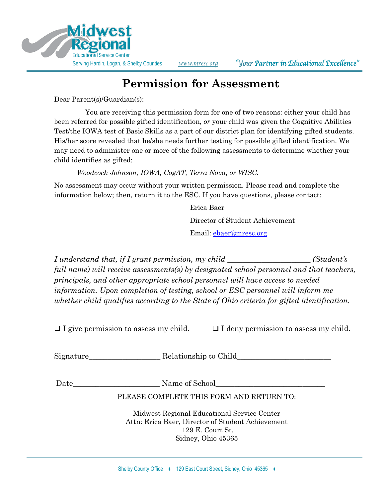

## **Permission for Assessment**

Dear Parent(s)/Guardian(s):

You are receiving this permission form for one of two reasons: either your child has been referred for possible gifted identification, *or* your child was given the Cognitive Abilities Test/the IOWA test of Basic Skills as a part of our district plan for identifying gifted students. His/her score revealed that he/she needs further testing for possible gifted identification. We may need to administer one or more of the following assessments to determine whether your child identifies as gifted:

*Woodcock Johnson, IOWA, CogAT, Terra Nova, or WISC.*

No assessment may occur without your written permission. Please read and complete the information below; then, return it to the ESC. If you have questions, please contact:

> Erica Baer Director of Student Achievement Email: [ebaer@mresc.org](mailto:ebaer@mresc.org)

*I understand that, if I grant permission, my child \_\_\_\_\_\_\_\_\_\_\_\_\_\_\_\_\_\_\_\_\_\_ (Student's full name) will receive assessments(s) by designated school personnel and that teachers, principals, and other appropriate school personnel will have access to needed information. Upon completion of testing, school or ESC personnel will inform me whether child qualifies according to the State of Ohio criteria for gifted identification.*

 $\Box$  I give permission to assess my child.  $\Box$  I deny permission to assess my child.

Signature Relationship to Child

Date\_\_\_\_\_\_\_\_\_\_\_\_\_\_\_\_\_\_\_\_\_\_\_ Name of School\_\_\_\_\_\_\_\_\_\_\_\_\_\_\_\_\_\_\_\_\_\_\_\_\_\_\_\_\_

PLEASE COMPLETE THIS FORM AND RETURN TO:

Midwest Regional Educational Service Center Attn: Erica Baer, Director of Student Achievement 129 E. Court St. Sidney, Ohio 45365